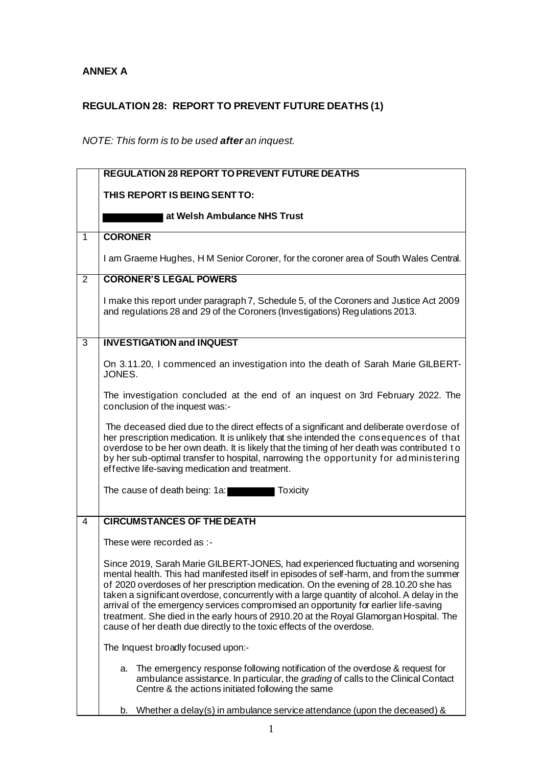## **ANNEX A**

## **REGULATION 28: REPORT TO PREVENT FUTURE DEATHS (1)**

## *NOTE: This form is to be used after an inquest.*

|                | <b>REGULATION 28 REPORT TO PREVENT FUTURE DEATHS</b>                                                                                                                                                                                                                                                                                                                                                                                                                                                                                                                                                                          |
|----------------|-------------------------------------------------------------------------------------------------------------------------------------------------------------------------------------------------------------------------------------------------------------------------------------------------------------------------------------------------------------------------------------------------------------------------------------------------------------------------------------------------------------------------------------------------------------------------------------------------------------------------------|
|                | THIS REPORT IS BEING SENT TO:                                                                                                                                                                                                                                                                                                                                                                                                                                                                                                                                                                                                 |
|                |                                                                                                                                                                                                                                                                                                                                                                                                                                                                                                                                                                                                                               |
|                | at Welsh Ambulance NHS Trust                                                                                                                                                                                                                                                                                                                                                                                                                                                                                                                                                                                                  |
| $\mathbf{1}$   | <b>CORONER</b>                                                                                                                                                                                                                                                                                                                                                                                                                                                                                                                                                                                                                |
|                | I am Graeme Hughes, H M Senior Coroner, for the coroner area of South Wales Central.                                                                                                                                                                                                                                                                                                                                                                                                                                                                                                                                          |
| 2              | <b>CORONER'S LEGAL POWERS</b>                                                                                                                                                                                                                                                                                                                                                                                                                                                                                                                                                                                                 |
|                | I make this report under paragraph 7, Schedule 5, of the Coroners and Justice Act 2009<br>and regulations 28 and 29 of the Coroners (Investigations) Regulations 2013.                                                                                                                                                                                                                                                                                                                                                                                                                                                        |
| 3              | <b>INVESTIGATION and INQUEST</b>                                                                                                                                                                                                                                                                                                                                                                                                                                                                                                                                                                                              |
|                | On 3.11.20, I commenced an investigation into the death of Sarah Marie GILBERT-<br>JONES.                                                                                                                                                                                                                                                                                                                                                                                                                                                                                                                                     |
|                | The investigation concluded at the end of an inquest on 3rd February 2022. The<br>conclusion of the inquest was:-                                                                                                                                                                                                                                                                                                                                                                                                                                                                                                             |
|                | The deceased died due to the direct effects of a significant and deliberate overdose of<br>her prescription medication. It is unlikely that she intended the consequences of that<br>overdose to be her own death. It is likely that the timing of her death was contributed to<br>by her sub-optimal transfer to hospital, narrowing the opportunity for administering<br>effective life-saving medication and treatment.                                                                                                                                                                                                    |
|                | The cause of death being: 1a:<br><b>Toxicity</b>                                                                                                                                                                                                                                                                                                                                                                                                                                                                                                                                                                              |
| $\overline{4}$ | <b>CIRCUMSTANCES OF THE DEATH</b>                                                                                                                                                                                                                                                                                                                                                                                                                                                                                                                                                                                             |
|                | These were recorded as :-                                                                                                                                                                                                                                                                                                                                                                                                                                                                                                                                                                                                     |
|                | Since 2019, Sarah Marie GILBERT-JONES, had experienced fluctuating and worsening<br>mental health. This had manifested itself in episodes of self-harm, and from the summer<br>of 2020 overdoses of her prescription medication. On the evening of 28.10.20 she has<br>taken a significant overdose, concurrently with a large quantity of alcohol. A delay in the<br>arrival of the emergency services compromised an opportunity for earlier life-saving<br>treatment. She died in the early hours of 2910.20 at the Royal Glamorgan Hospital. The<br>cause of her death due directly to the toxic effects of the overdose. |
|                | The Inquest broadly focused upon:-                                                                                                                                                                                                                                                                                                                                                                                                                                                                                                                                                                                            |
|                | The emergency response following notification of the overdose & request for<br>a.<br>ambulance assistance. In particular, the grading of calls to the Clinical Contact<br>Centre & the actions initiated following the same                                                                                                                                                                                                                                                                                                                                                                                                   |
|                | Whether a delay(s) in ambulance service attendance (upon the deceased) $\&$<br>b.                                                                                                                                                                                                                                                                                                                                                                                                                                                                                                                                             |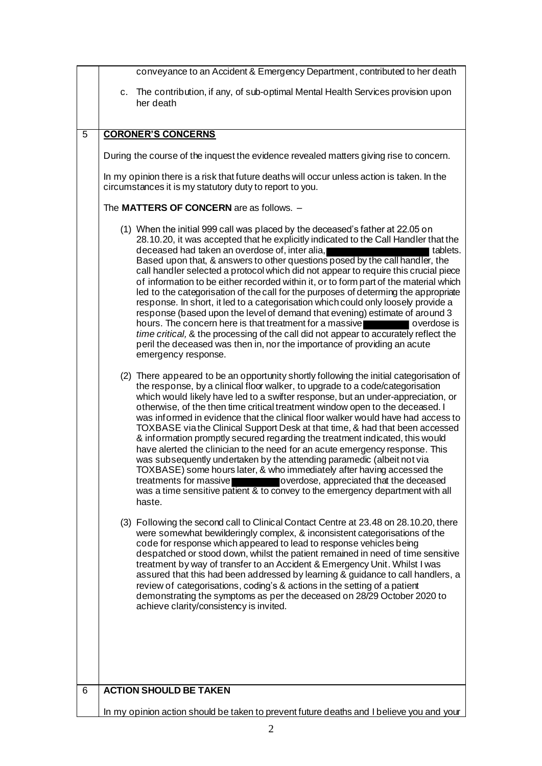|                | conveyance to an Accident & Emergency Department, contributed to her death                                                                                                                                                                                                                                                                                                                                                                                                                                                                                                                                                                                                                                                                                                                                                                                                                                                                                                                                                         |
|----------------|------------------------------------------------------------------------------------------------------------------------------------------------------------------------------------------------------------------------------------------------------------------------------------------------------------------------------------------------------------------------------------------------------------------------------------------------------------------------------------------------------------------------------------------------------------------------------------------------------------------------------------------------------------------------------------------------------------------------------------------------------------------------------------------------------------------------------------------------------------------------------------------------------------------------------------------------------------------------------------------------------------------------------------|
|                | c. The contribution, if any, of sub-optimal Mental Health Services provision upon<br>her death                                                                                                                                                                                                                                                                                                                                                                                                                                                                                                                                                                                                                                                                                                                                                                                                                                                                                                                                     |
| $\overline{5}$ | <b>CORONER'S CONCERNS</b>                                                                                                                                                                                                                                                                                                                                                                                                                                                                                                                                                                                                                                                                                                                                                                                                                                                                                                                                                                                                          |
|                | During the course of the inquest the evidence revealed matters giving rise to concern.                                                                                                                                                                                                                                                                                                                                                                                                                                                                                                                                                                                                                                                                                                                                                                                                                                                                                                                                             |
|                | In my opinion there is a risk that future deaths will occur unless action is taken. In the<br>circumstances it is my statutory duty to report to you.                                                                                                                                                                                                                                                                                                                                                                                                                                                                                                                                                                                                                                                                                                                                                                                                                                                                              |
|                | The MATTERS OF CONCERN are as follows. -                                                                                                                                                                                                                                                                                                                                                                                                                                                                                                                                                                                                                                                                                                                                                                                                                                                                                                                                                                                           |
|                | (1) When the initial 999 call was placed by the deceased's father at 22.05 on<br>28.10.20, it was accepted that he explicitly indicated to the Call Handler that the<br>deceased had taken an overdose of, inter alia,<br>tablets.<br>Based upon that, & answers to other questions posed by the call handler, the<br>call handler selected a protocol which did not appear to require this crucial piece<br>of information to be either recorded within it, or to form part of the material which<br>led to the categorisation of the call for the purposes of determing the appropriate<br>response. In short, it led to a categorisation which could only loosely provide a<br>response (based upon the level of demand that evening) estimate of around 3<br>hours. The concern here is that treatment for a massive<br>overdose is<br>time critical, & the processing of the call did not appear to accurately reflect the<br>peril the deceased was then in, nor the importance of providing an acute<br>emergency response. |
|                | (2) There appeared to be an opportunity shortly following the initial categorisation of<br>the response, by a clinical floor walker, to upgrade to a code/categorisation<br>which would likely have led to a swifter response, but an under-appreciation, or<br>otherwise, of the then time critical treatment window open to the deceased. I<br>was informed in evidence that the clinical floor walker would have had access to<br>TOXBASE via the Clinical Support Desk at that time, & had that been accessed<br>& information promptly secured regarding the treatment indicated, this would<br>have alerted the clinician to the need for an acute emergency response. This<br>was subsequently undertaken by the attending paramedic (albeit not via<br>TOXBASE) some hours later, & who immediately after having accessed the<br>treatments for massive <b>contains the overdose</b> , appreciated that the deceased<br>was a time sensitive patient & to convey to the emergency department with all<br>haste.            |
|                | (3) Following the second call to Clinical Contact Centre at 23.48 on 28.10.20, there<br>were somewhat bewilderingly complex, & inconsistent categorisations of the<br>code for response which appeared to lead to response vehicles being<br>despatched or stood down, whilst the patient remained in need of time sensitive<br>treatment by way of transfer to an Accident & Emergency Unit. Whilst I was<br>assured that this had been addressed by learning & guidance to call handlers, a<br>review of categorisations, coding's & actions in the setting of a patient<br>demonstrating the symptoms as per the deceased on 28/29 October 2020 to<br>achieve clarity/consistency is invited.                                                                                                                                                                                                                                                                                                                                   |
| 6              | <b>ACTION SHOULD BE TAKEN</b>                                                                                                                                                                                                                                                                                                                                                                                                                                                                                                                                                                                                                                                                                                                                                                                                                                                                                                                                                                                                      |
|                | In my opinion action should be taken to prevent future deaths and I believe you and your                                                                                                                                                                                                                                                                                                                                                                                                                                                                                                                                                                                                                                                                                                                                                                                                                                                                                                                                           |